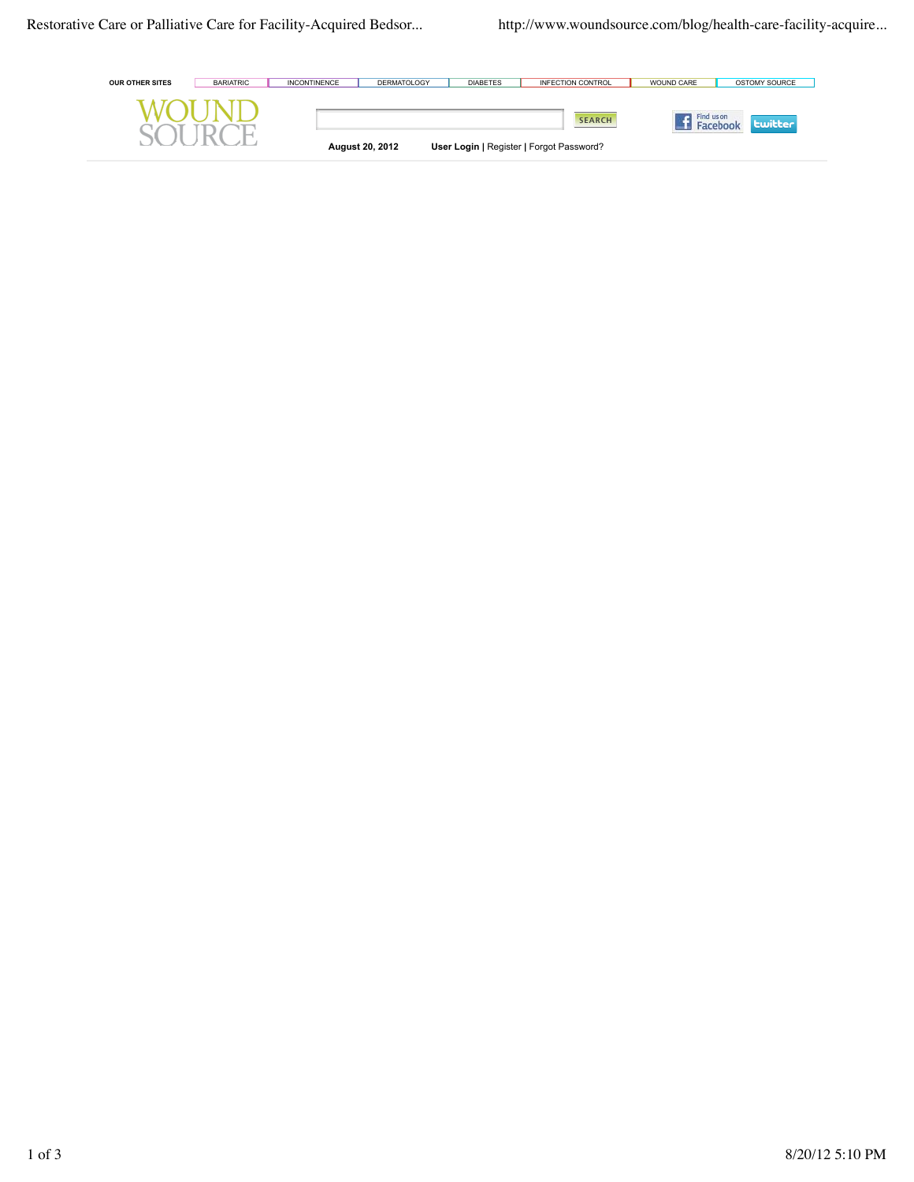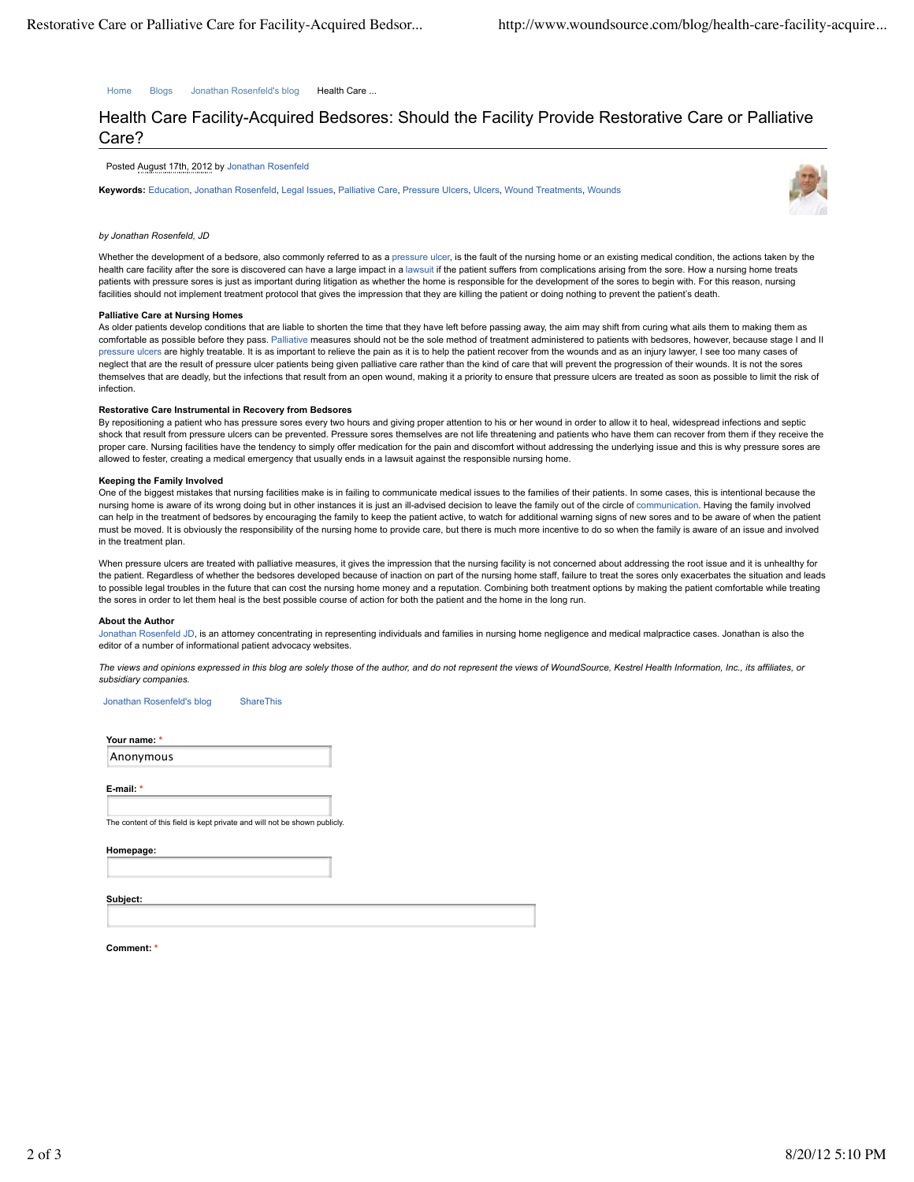Home Blogs Jonathan Rosenfeld's blog Health Care ...

# Health Care Facility-Acquired Bedsores: Should the Facility Provide Restorative Care or Palliative Care?

Posted August 17th, 2012 by Jonathan Rosenfeld

**Keywords:** Education, Jonathan Rosenfeld, Legal Issues, Palliative Care, Pressure Ulcers, Ulcers, Wound Treatments, Wounds



# *by Jonathan Rosenfeld, JD*

Whether the development of a bedsore, also commonly referred to as a pressure ulcer, is the fault of the nursing home or an existing medical condition, the actions taken by the health care facility after the sore is discovered can have a large impact in a lawsuit if the patient suffers from complications arising from the sore. How a nursing home treats patients with pressure sores is just as important during litigation as whether the home is responsible for the development of the sores to begin with. For this reason, nursing facilities should not implement treatment protocol that gives the impression that they are killing the patient or doing nothing to prevent the patient's death.

## **Palliative Care at Nursing Homes**

As older patients develop conditions that are liable to shorten the time that they have left before passing away, the aim may shift from curing what ails them to making them as comfortable as possible before they pass. Palliative measures should not be the sole method of treatment administered to patients with bedsores, however, because stage I and II pressure ulcers are highly treatable. It is as important to relieve the pain as it is to help the patient recover from the wounds and as an injury lawyer, I see too many cases of neglect that are the result of pressure ulcer patients being given palliative care rather than the kind of care that will prevent the progression of their wounds. It is not the sores themselves that are deadly, but the infections that result from an open wound, making it a priority to ensure that pressure ulcers are treated as soon as possible to limit the risk of infection.

# **Restorative Care Instrumental in Recovery from Bedsores**

By repositioning a patient who has pressure sores every two hours and giving proper attention to his or her wound in order to allow it to heal, widespread infections and septic shock that result from pressure ulcers can be prevented. Pressure sores themselves are not life threatening and patients who have them can recover from them if they receive the proper care. Nursing facilities have the tendency to simply offer medication for the pain and discomfort without addressing the underlying issue and this is why pressure sores are allowed to fester, creating a medical emergency that usually ends in a lawsuit against the responsible nursing home.

## **Keeping the Family Involved**

One of the biggest mistakes that nursing facilities make is in failing to communicate medical issues to the families of their patients. In some cases, this is intentional because the nursing home is aware of its wrong doing but in other instances it is just an ill-advised decision to leave the family out of the circle of communication. Having the family involved can help in the treatment of bedsores by encouraging the family to keep the patient active, to watch for additional warning signs of new sores and to be aware of when the patient must be moved. It is obviously the responsibility of the nursing home to provide care, but there is much more incentive to do so when the family is aware of an issue and involved in the treatment plan.

When pressure ulcers are treated with palliative measures, it gives the impression that the nursing facility is not concerned about addressing the root issue and it is unhealthy for the patient. Regardless of whether the bedsores developed because of inaction on part of the nursing home staff, failure to treat the sores only exacerbates the situation and leads to possible legal troubles in the future that can cost the nursing home money and a reputation. Combining both treatment options by making the patient comfortable while treating the sores in order to let them heal is the best possible course of action for both the patient and the home in the long run.

## **About the Author**

Jonathan Rosenfeld JD, is an attorney concentrating in representing individuals and families in nursing home negligence and medical malpractice cases. Jonathan is also the editor of a number of informational patient advocacy websites

*The views and opinions expressed in this blog are solely those of the author, and do not represent the views of WoundSource, Kestrel Health Information, Inc., its affiliates, or subsidiary companies.*

Jonathan Rosenfeld's blog ShareThis

**Your name: \***

Anonymous

**E-mail: \***

The content of this field is kept private and will not be shown publicly.

**Homepage:**

**Subject:**

Comment: